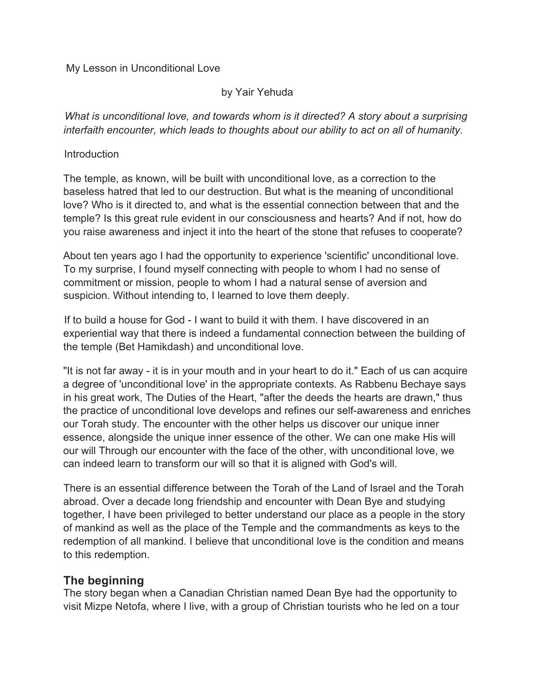### My Lesson in Unconditional Love

### by Yair Yehuda

*What is unconditional love, and towards whom is it directed? A story about a surprising interfaith encounter, which leads to thoughts about our ability to act on all of humanity*.

### **Introduction**

The temple, as known, will be built with unconditional love, as a correction to the baseless hatred that led to our destruction. But what is the meaning of unconditional love? Who is it directed to, and what is the essential connection between that and the temple? Is this great rule evident in our consciousness and hearts? And if not, how do you raise awareness and inject it into the heart of the stone that refuses to cooperate?

About ten years ago I had the opportunity to experience 'scientific' unconditional love. To my surprise, I found myself connecting with people to whom I had no sense of commitment or mission, people to whom I had a natural sense of aversion and suspicion. Without intending to, I learned to love them deeply.

If to build a house for God - I want to build it with them. I have discovered in an experiential way that there is indeed a fundamental connection between the building of the temple (Bet Hamikdash) and unconditional love.

"It is not far away - it is in your mouth and in your heart to do it." Each of us can acquire a degree of 'unconditional love' in the appropriate contexts. As Rabbenu Bechaye says in his great work, The Duties of the Heart, "after the deeds the hearts are drawn," thus the practice of unconditional love develops and refines our self-awareness and enriches our Torah study. The encounter with the other helps us discover our unique inner essence, alongside the unique inner essence of the other. We can one make His will our will Through our encounter with the face of the other, with unconditional love, we can indeed learn to transform our will so that it is aligned with God's will.

There is an essential difference between the Torah of the Land of Israel and the Torah abroad. Over a decade long friendship and encounter with Dean Bye and studying together, I have been privileged to better understand our place as a people in the story of mankind as well as the place of the Temple and the commandments as keys to the redemption of all mankind. I believe that unconditional love is the condition and means to this redemption.

# **The beginning**

The story began when a Canadian Christian named Dean Bye had the opportunity to visit Mizpe Netofa, where I live, with a group of Christian tourists who he led on a tour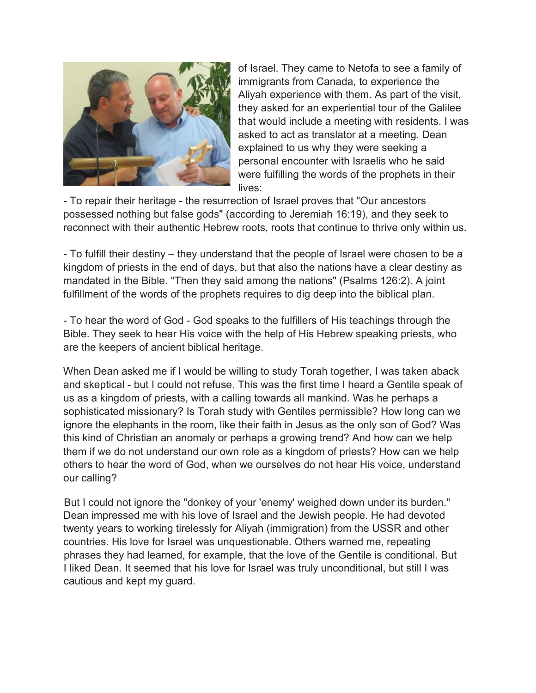

of Israel. They came to Netofa to see a family of immigrants from Canada, to experience the Aliyah experience with them. As part of the visit, they asked for an experiential tour of the Galilee that would include a meeting with residents. I was asked to act as translator at a meeting. Dean explained to us why they were seeking a personal encounter with Israelis who he said were fulfilling the words of the prophets in their lives:

- To repair their heritage - the resurrection of Israel proves that "Our ancestors possessed nothing but false gods" (according to Jeremiah 16:19), and they seek to reconnect with their authentic Hebrew roots, roots that continue to thrive only within us.

- To fulfill their destiny – they understand that the people of Israel were chosen to be a kingdom of priests in the end of days, but that also the nations have a clear destiny as mandated in the Bible. "Then they said among the nations" (Psalms 126:2). A joint fulfillment of the words of the prophets requires to dig deep into the biblical plan.

- To hear the word of God - God speaks to the fulfillers of His teachings through the Bible. They seek to hear His voice with the help of His Hebrew speaking priests, who are the keepers of ancient biblical heritage.

When Dean asked me if I would be willing to study Torah together, I was taken aback and skeptical - but I could not refuse. This was the first time I heard a Gentile speak of us as a kingdom of priests, with a calling towards all mankind. Was he perhaps a sophisticated missionary? Is Torah study with Gentiles permissible? How long can we ignore the elephants in the room, like their faith in Jesus as the only son of God? Was this kind of Christian an anomaly or perhaps a growing trend? And how can we help them if we do not understand our own role as a kingdom of priests? How can we help others to hear the word of God, when we ourselves do not hear His voice, understand our calling?

But I could not ignore the "donkey of your 'enemy' weighed down under its burden." Dean impressed me with his love of Israel and the Jewish people. He had devoted twenty years to working tirelessly for Aliyah (immigration) from the USSR and other countries. His love for Israel was unquestionable. Others warned me, repeating phrases they had learned, for example, that the love of the Gentile is conditional. But I liked Dean. It seemed that his love for Israel was truly unconditional, but still I was cautious and kept my guard.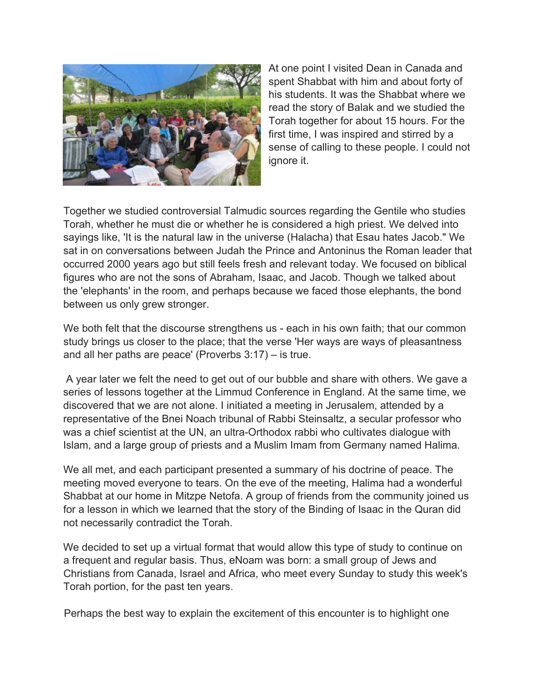

At one point I visited Dean in Canada and spent Shabbat with him and about forty of his students. It was the Shabbat where we read the story of Balak and we studied the Torah together for about 15 hours. For the first time, I was inspired and stirred by a sense of calling to these people. I could not ignore it.

Together we studied controversial Talmudic sources regarding the Gentile who studies Torah, whether he must die or whether he is considered a high priest. We delved into sayings like, 'It is the natural law in the universe (Halacha) that Esau hates Jacob." We sat in on conversations between Judah the Prince and Antoninus the Roman leader that occurred 2000 years ago but still feels fresh and relevant today. We focused on biblical figures who are not the sons of Abraham, Isaac, and Jacob. Though we talked about the 'elephants' in the room, and perhaps because we faced those elephants, the bond between us only grew stronger.

We both felt that the discourse strengthens us - each in his own faith; that our common study brings us closer to the place; that the verse 'Her ways are ways of pleasantness and all her paths are peace' (Proverbs 3:17) – is true.

A year later we felt the need to get out of our bubble and share with others. We gave a series of lessons together at the Limmud Conference in England. At the same time, we discovered that we are not alone. I initiated a meeting in Jerusalem, attended by a representative of the Bnei Noach tribunal of Rabbi Steinsaltz, a secular professor who was a chief scientist at the UN, an ultra-Orthodox rabbi who cultivates dialogue with Islam, and a large group of priests and a Muslim Imam from Germany named Halima.

We all met, and each participant presented a summary of his doctrine of peace. The meeting moved everyone to tears. On the eve of the meeting, Halima had a wonderful Shabbat at our home in Mitzpe Netofa. A group of friends from the community joined us for a lesson in which we learned that the story of the Binding of Isaac in the Quran did not necessarily contradict the Torah.

We decided to set up a virtual format that would allow this type of study to continue on a frequent and regular basis. Thus, eNoam was born: a small group of Jews and Christians from Canada, Israel and Africa, who meet every Sunday to study this week's Torah portion, for the past ten years.

Perhaps the best way to explain the excitement of this encounter is to highlight one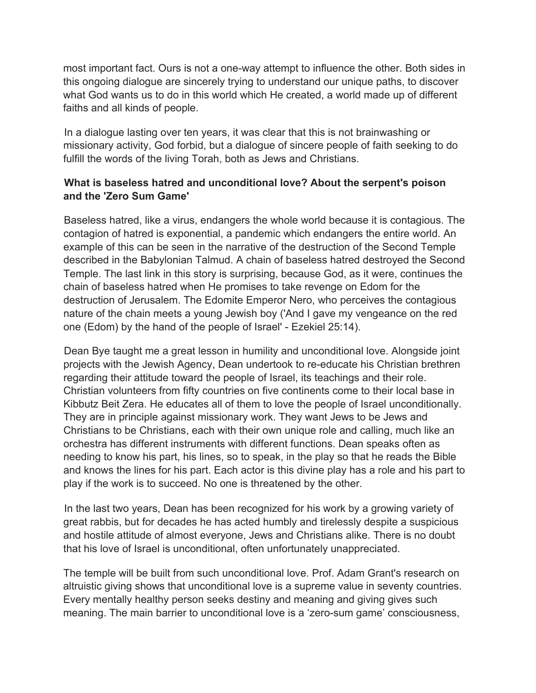most important fact. Ours is not a one-way attempt to influence the other. Both sides in this ongoing dialogue are sincerely trying to understand our unique paths, to discover what God wants us to do in this world which He created, a world made up of different faiths and all kinds of people.

In a dialogue lasting over ten years, it was clear that this is not brainwashing or missionary activity, God forbid, but a dialogue of sincere people of faith seeking to do fulfill the words of the living Torah, both as Jews and Christians.

# **What is baseless hatred and unconditional love? About the serpent's poison and the 'Zero Sum Game'**

Baseless hatred, like a virus, endangers the whole world because it is contagious. The contagion of hatred is exponential, a pandemic which endangers the entire world. An example of this can be seen in the narrative of the destruction of the Second Temple described in the Babylonian Talmud. A chain of baseless hatred destroyed the Second Temple. The last link in this story is surprising, because God, as it were, continues the chain of baseless hatred when He promises to take revenge on Edom for the destruction of Jerusalem. The Edomite Emperor Nero, who perceives the contagious nature of the chain meets a young Jewish boy ('And I gave my vengeance on the red one (Edom) by the hand of the people of Israel' - Ezekiel 25:14).

Dean Bye taught me a great lesson in humility and unconditional love. Alongside joint projects with the Jewish Agency, Dean undertook to re-educate his Christian brethren regarding their attitude toward the people of Israel, its teachings and their role. Christian volunteers from fifty countries on five continents come to their local base in Kibbutz Beit Zera. He educates all of them to love the people of Israel unconditionally. They are in principle against missionary work. They want Jews to be Jews and Christians to be Christians, each with their own unique role and calling, much like an orchestra has different instruments with different functions. Dean speaks often as needing to know his part, his lines, so to speak, in the play so that he reads the Bible and knows the lines for his part. Each actor is this divine play has a role and his part to play if the work is to succeed. No one is threatened by the other.

In the last two years, Dean has been recognized for his work by a growing variety of great rabbis, but for decades he has acted humbly and tirelessly despite a suspicious and hostile attitude of almost everyone, Jews and Christians alike. There is no doubt that his love of Israel is unconditional, often unfortunately unappreciated.

The temple will be built from such unconditional love. Prof. Adam Grant's research on altruistic giving shows that unconditional love is a supreme value in seventy countries. Every mentally healthy person seeks destiny and meaning and giving gives such meaning. The main barrier to unconditional love is a 'zero-sum game' consciousness,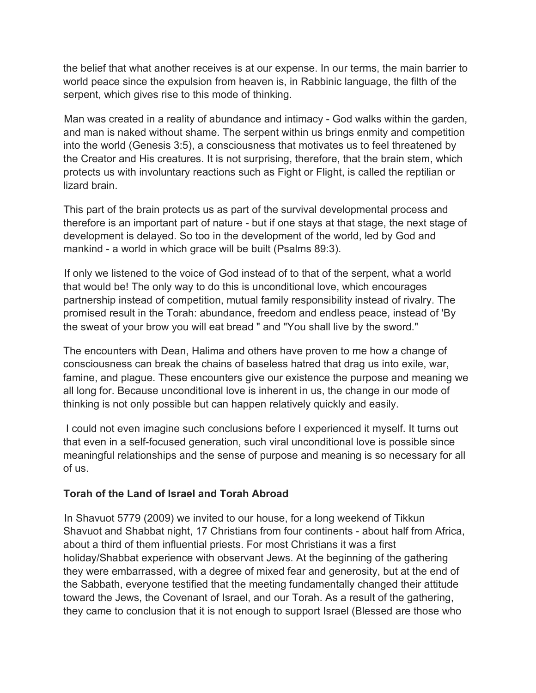the belief that what another receives is at our expense. In our terms, the main barrier to world peace since the expulsion from heaven is, in Rabbinic language, the filth of the serpent, which gives rise to this mode of thinking.

Man was created in a reality of abundance and intimacy - God walks within the garden, and man is naked without shame. The serpent within us brings enmity and competition into the world (Genesis 3:5), a consciousness that motivates us to feel threatened by the Creator and His creatures. It is not surprising, therefore, that the brain stem, which protects us with involuntary reactions such as Fight or Flight, is called the reptilian or lizard brain.

This part of the brain protects us as part of the survival developmental process and therefore is an important part of nature - but if one stays at that stage, the next stage of development is delayed. So too in the development of the world, led by God and mankind - a world in which grace will be built (Psalms 89:3).

If only we listened to the voice of God instead of to that of the serpent, what a world that would be! The only way to do this is unconditional love, which encourages partnership instead of competition, mutual family responsibility instead of rivalry. The promised result in the Torah: abundance, freedom and endless peace, instead of 'By the sweat of your brow you will eat bread " and "You shall live by the sword."

The encounters with Dean, Halima and others have proven to me how a change of consciousness can break the chains of baseless hatred that drag us into exile, war, famine, and plague. These encounters give our existence the purpose and meaning we all long for. Because unconditional love is inherent in us, the change in our mode of thinking is not only possible but can happen relatively quickly and easily.

I could not even imagine such conclusions before I experienced it myself. It turns out that even in a self-focused generation, such viral unconditional love is possible since meaningful relationships and the sense of purpose and meaning is so necessary for all of us.

## **Torah of the Land of Israel and Torah Abroad**

In Shavuot 5779 (2009) we invited to our house, for a long weekend of Tikkun Shavuot and Shabbat night, 17 Christians from four continents - about half from Africa, about a third of them influential priests. For most Christians it was a first holiday/Shabbat experience with observant Jews. At the beginning of the gathering they were embarrassed, with a degree of mixed fear and generosity, but at the end of the Sabbath, everyone testified that the meeting fundamentally changed their attitude toward the Jews, the Covenant of Israel, and our Torah. As a result of the gathering, they came to conclusion that it is not enough to support Israel (Blessed are those who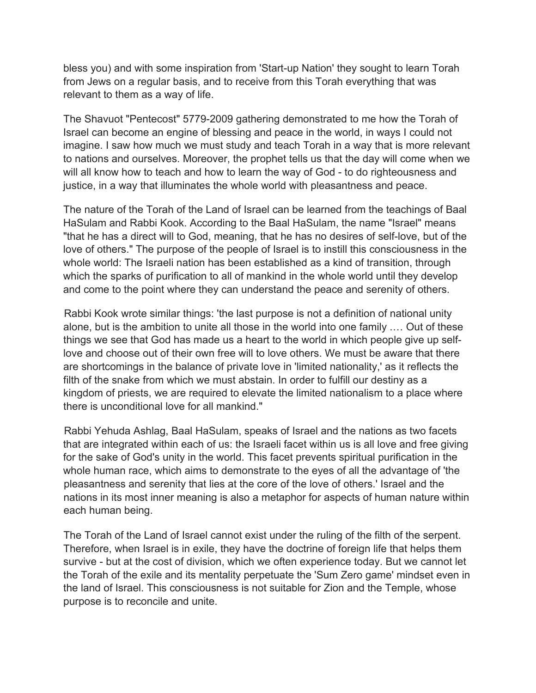bless you) and with some inspiration from 'Start-up Nation' they sought to learn Torah from Jews on a regular basis, and to receive from this Torah everything that was relevant to them as a way of life.

The Shavuot "Pentecost" 5779-2009 gathering demonstrated to me how the Torah of Israel can become an engine of blessing and peace in the world, in ways I could not imagine. I saw how much we must study and teach Torah in a way that is more relevant to nations and ourselves. Moreover, the prophet tells us that the day will come when we will all know how to teach and how to learn the way of God - to do righteousness and justice, in a way that illuminates the whole world with pleasantness and peace.

The nature of the Torah of the Land of Israel can be learned from the teachings of Baal HaSulam and Rabbi Kook. According to the Baal HaSulam, the name "Israel" means "that he has a direct will to God, meaning, that he has no desires of self-love, but of the love of others." The purpose of the people of Israel is to instill this consciousness in the whole world: The Israeli nation has been established as a kind of transition, through which the sparks of purification to all of mankind in the whole world until they develop and come to the point where they can understand the peace and serenity of others.

Rabbi Kook wrote similar things: 'the last purpose is not a definition of national unity alone, but is the ambition to unite all those in the world into one family .… Out of these things we see that God has made us a heart to the world in which people give up selflove and choose out of their own free will to love others. We must be aware that there are shortcomings in the balance of private love in 'limited nationality,' as it reflects the filth of the snake from which we must abstain. In order to fulfill our destiny as a kingdom of priests, we are required to elevate the limited nationalism to a place where there is unconditional love for all mankind."

Rabbi Yehuda Ashlag, Baal HaSulam, speaks of Israel and the nations as two facets that are integrated within each of us: the Israeli facet within us is all love and free giving for the sake of God's unity in the world. This facet prevents spiritual purification in the whole human race, which aims to demonstrate to the eyes of all the advantage of 'the pleasantness and serenity that lies at the core of the love of others.' Israel and the nations in its most inner meaning is also a metaphor for aspects of human nature within each human being.

The Torah of the Land of Israel cannot exist under the ruling of the filth of the serpent. Therefore, when Israel is in exile, they have the doctrine of foreign life that helps them survive - but at the cost of division, which we often experience today. But we cannot let the Torah of the exile and its mentality perpetuate the 'Sum Zero game' mindset even in the land of Israel. This consciousness is not suitable for Zion and the Temple, whose purpose is to reconcile and unite.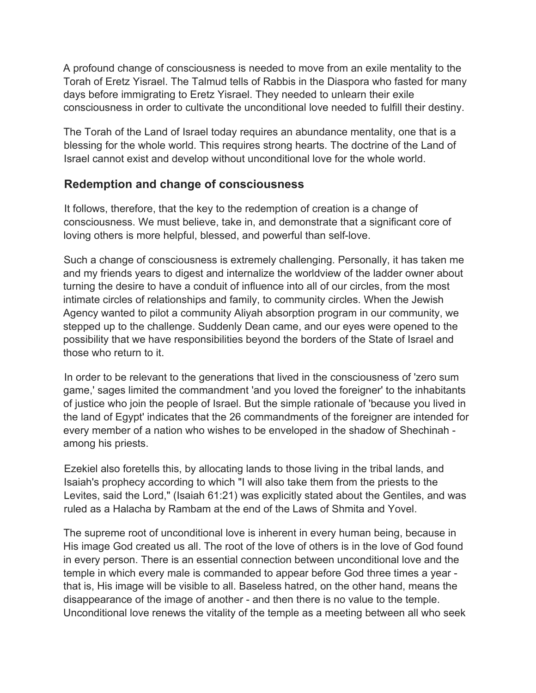A profound change of consciousness is needed to move from an exile mentality to the Torah of Eretz Yisrael. The Talmud tells of Rabbis in the Diaspora who fasted for many days before immigrating to Eretz Yisrael. They needed to unlearn their exile consciousness in order to cultivate the unconditional love needed to fulfill their destiny.

The Torah of the Land of Israel today requires an abundance mentality, one that is a blessing for the whole world. This requires strong hearts. The doctrine of the Land of Israel cannot exist and develop without unconditional love for the whole world.

# **Redemption and change of consciousness**

It follows, therefore, that the key to the redemption of creation is a change of consciousness. We must believe, take in, and demonstrate that a significant core of loving others is more helpful, blessed, and powerful than self-love.

Such a change of consciousness is extremely challenging. Personally, it has taken me and my friends years to digest and internalize the worldview of the ladder owner about turning the desire to have a conduit of influence into all of our circles, from the most intimate circles of relationships and family, to community circles. When the Jewish Agency wanted to pilot a community Aliyah absorption program in our community, we stepped up to the challenge. Suddenly Dean came, and our eyes were opened to the possibility that we have responsibilities beyond the borders of the State of Israel and those who return to it.

In order to be relevant to the generations that lived in the consciousness of 'zero sum game,' sages limited the commandment 'and you loved the foreigner' to the inhabitants of justice who join the people of Israel. But the simple rationale of 'because you lived in the land of Egypt' indicates that the 26 commandments of the foreigner are intended for every member of a nation who wishes to be enveloped in the shadow of Shechinah among his priests.

Ezekiel also foretells this, by allocating lands to those living in the tribal lands, and Isaiah's prophecy according to which "I will also take them from the priests to the Levites, said the Lord," (Isaiah 61:21) was explicitly stated about the Gentiles, and was ruled as a Halacha by Rambam at the end of the Laws of Shmita and Yovel.

The supreme root of unconditional love is inherent in every human being, because in His image God created us all. The root of the love of others is in the love of God found in every person. There is an essential connection between unconditional love and the temple in which every male is commanded to appear before God three times a year that is, His image will be visible to all. Baseless hatred, on the other hand, means the disappearance of the image of another - and then there is no value to the temple. Unconditional love renews the vitality of the temple as a meeting between all who seek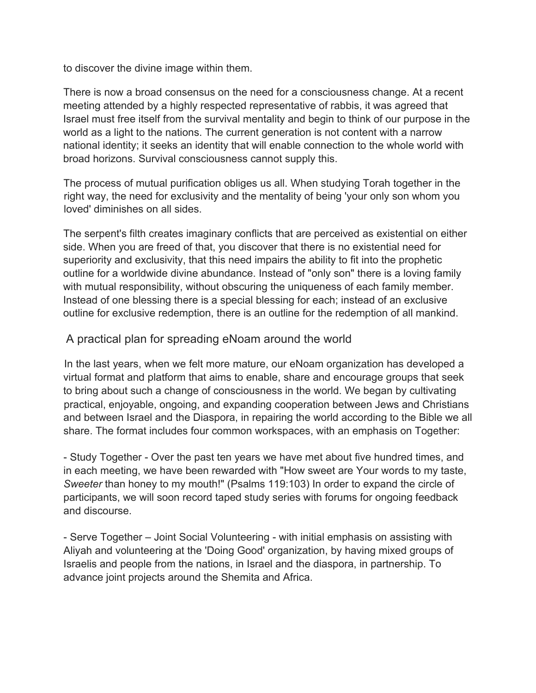to discover the divine image within them.

There is now a broad consensus on the need for a consciousness change. At a recent meeting attended by a highly respected representative of rabbis, it was agreed that Israel must free itself from the survival mentality and begin to think of our purpose in the world as a light to the nations. The current generation is not content with a narrow national identity; it seeks an identity that will enable connection to the whole world with broad horizons. Survival consciousness cannot supply this.

The process of mutual purification obliges us all. When studying Torah together in the right way, the need for exclusivity and the mentality of being 'your only son whom you loved' diminishes on all sides.

The serpent's filth creates imaginary conflicts that are perceived as existential on either side. When you are freed of that, you discover that there is no existential need for superiority and exclusivity, that this need impairs the ability to fit into the prophetic outline for a worldwide divine abundance. Instead of "only son" there is a loving family with mutual responsibility, without obscuring the uniqueness of each family member. Instead of one blessing there is a special blessing for each; instead of an exclusive outline for exclusive redemption, there is an outline for the redemption of all mankind.

## A practical plan for spreading eNoam around the world

In the last years, when we felt more mature, our eNoam organization has developed a virtual format and platform that aims to enable, share and encourage groups that seek to bring about such a change of consciousness in the world. We began by cultivating practical, enjoyable, ongoing, and expanding cooperation between Jews and Christians and between Israel and the Diaspora, in repairing the world according to the Bible we all share. The format includes four common workspaces, with an emphasis on Together:

- Study Together - Over the past ten years we have met about five hundred times, and in each meeting, we have been rewarded with "How sweet are Your words to my taste, *Sweeter* than honey to my mouth!" (Psalms 119:103) In order to expand the circle of participants, we will soon record taped study series with forums for ongoing feedback and discourse.

- Serve Together – Joint Social Volunteering - with initial emphasis on assisting with Aliyah and volunteering at the 'Doing Good' organization, by having mixed groups of Israelis and people from the nations, in Israel and the diaspora, in partnership. To advance joint projects around the Shemita and Africa.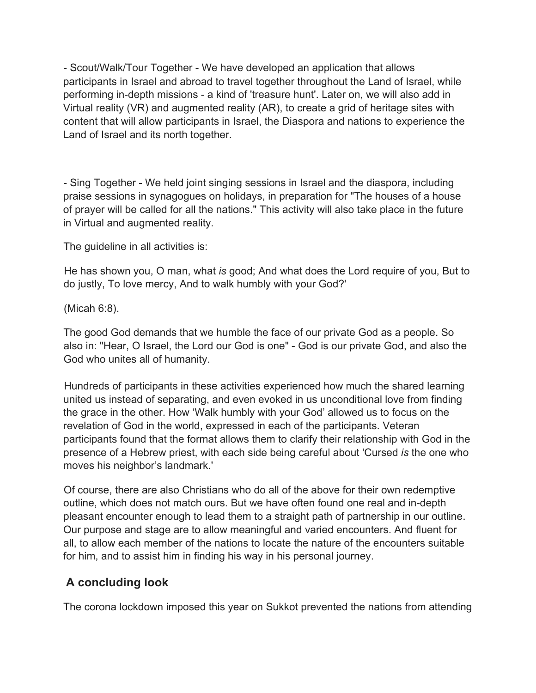- Scout/Walk/Tour Together - We have developed an application that allows participants in Israel and abroad to travel together throughout the Land of Israel, while performing in-depth missions - a kind of 'treasure hunt'. Later on, we will also add in Virtual reality (VR) and augmented reality (AR), to create a grid of heritage sites with content that will allow participants in Israel, the Diaspora and nations to experience the Land of Israel and its north together.

- Sing Together - We held joint singing sessions in Israel and the diaspora, including praise sessions in synagogues on holidays, in preparation for "The houses of a house of prayer will be called for all the nations." This activity will also take place in the future in Virtual and augmented reality.

The guideline in all activities is:

He has shown you, O man, what *is* good; And what does the Lord require of you, But to do justly, To love mercy, And to walk humbly with your God?'

(Micah 6:8).

The good God demands that we humble the face of our private God as a people. So also in: "Hear, O Israel, the Lord our God is one" - God is our private God, and also the God who unites all of humanity.

Hundreds of participants in these activities experienced how much the shared learning united us instead of separating, and even evoked in us unconditional love from finding the grace in the other. How 'Walk humbly with your God' allowed us to focus on the revelation of God in the world, expressed in each of the participants. Veteran participants found that the format allows them to clarify their relationship with God in the presence of a Hebrew priest, with each side being careful about 'Cursed *is* the one who moves his neighbor's landmark.'

Of course, there are also Christians who do all of the above for their own redemptive outline, which does not match ours. But we have often found one real and in-depth pleasant encounter enough to lead them to a straight path of partnership in our outline. Our purpose and stage are to allow meaningful and varied encounters. And fluent for all, to allow each member of the nations to locate the nature of the encounters suitable for him, and to assist him in finding his way in his personal journey.

# **A concluding look**

The corona lockdown imposed this year on Sukkot prevented the nations from attending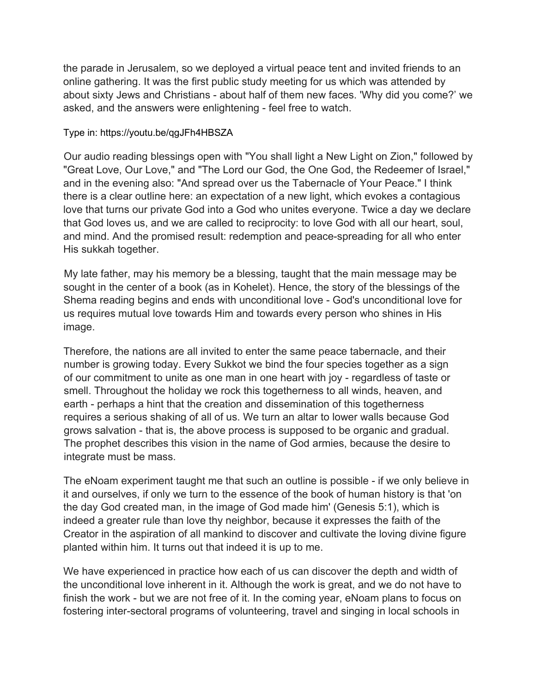the parade in Jerusalem, so we deployed a virtual peace tent and invited friends to an online gathering. It was the first public study meeting for us which was attended by about sixty Jews and Christians - about half of them new faces. 'Why did you come?' we asked, and the answers were enlightening - feel free to watch.

#### Type in: https://youtu.be/qgJFh4HBSZA

Our audio reading blessings open with "You shall light a New Light on Zion," followed by "Great Love, Our Love," and "The Lord our God, the One God, the Redeemer of Israel," and in the evening also: "And spread over us the Tabernacle of Your Peace." I think there is a clear outline here: an expectation of a new light, which evokes a contagious love that turns our private God into a God who unites everyone. Twice a day we declare that God loves us, and we are called to reciprocity: to love God with all our heart, soul, and mind. And the promised result: redemption and peace-spreading for all who enter His sukkah together.

My late father, may his memory be a blessing, taught that the main message may be sought in the center of a book (as in Kohelet). Hence, the story of the blessings of the Shema reading begins and ends with unconditional love - God's unconditional love for us requires mutual love towards Him and towards every person who shines in His image.

Therefore, the nations are all invited to enter the same peace tabernacle, and their number is growing today. Every Sukkot we bind the four species together as a sign of our commitment to unite as one man in one heart with joy - regardless of taste or smell. Throughout the holiday we rock this togetherness to all winds, heaven, and earth - perhaps a hint that the creation and dissemination of this togetherness requires a serious shaking of all of us. We turn an altar to lower walls because God grows salvation - that is, the above process is supposed to be organic and gradual. The prophet describes this vision in the name of God armies, because the desire to integrate must be mass.

The eNoam experiment taught me that such an outline is possible - if we only believe in it and ourselves, if only we turn to the essence of the book of human history is that 'on the day God created man, in the image of God made him' (Genesis 5:1), which is indeed a greater rule than love thy neighbor, because it expresses the faith of the Creator in the aspiration of all mankind to discover and cultivate the loving divine figure planted within him. It turns out that indeed it is up to me.

We have experienced in practice how each of us can discover the depth and width of the unconditional love inherent in it. Although the work is great, and we do not have to finish the work - but we are not free of it. In the coming year, eNoam plans to focus on fostering inter-sectoral programs of volunteering, travel and singing in local schools in